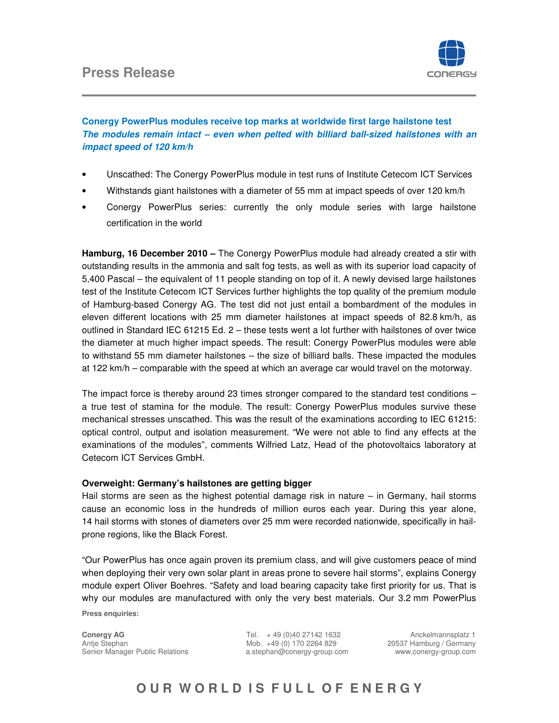## **Press Release**



### **Conergy PowerPlus modules receive top marks at worldwide first large hailstone test The modules remain intact – even when pelted with billiard ball-sized hailstones with an impact speed of 120 km/h**

- Unscathed: The Conergy PowerPlus module in test runs of Institute Cetecom ICT Services
- Withstands giant hailstones with a diameter of 55 mm at impact speeds of over 120 km/h
- Conergy PowerPlus series: currently the only module series with large hailstone certification in the world

**Hamburg, 16 December 2010 –** The Conergy PowerPlus module had already created a stir with outstanding results in the ammonia and salt fog tests, as well as with its superior load capacity of 5,400 Pascal – the equivalent of 11 people standing on top of it. A newly devised large hailstones test of the Institute Cetecom ICT Services further highlights the top quality of the premium module of Hamburg-based Conergy AG. The test did not just entail a bombardment of the modules in eleven different locations with 25 mm diameter hailstones at impact speeds of 82.8 km/h, as outlined in Standard IEC 61215 Ed. 2 – these tests went a lot further with hailstones of over twice the diameter at much higher impact speeds. The result: Conergy PowerPlus modules were able to withstand 55 mm diameter hailstones – the size of billiard balls. These impacted the modules at 122 km/h – comparable with the speed at which an average car would travel on the motorway.

The impact force is thereby around 23 times stronger compared to the standard test conditions – a true test of stamina for the module. The result: Conergy PowerPlus modules survive these mechanical stresses unscathed. This was the result of the examinations according to IEC 61215: optical control, output and isolation measurement. "We were not able to find any effects at the examinations of the modules", comments Wilfried Latz, Head of the photovoltaics laboratory at Cetecom ICT Services GmbH.

### **Overweight: Germany's hailstones are getting bigger**

Hail storms are seen as the highest potential damage risk in nature – in Germany, hail storms cause an economic loss in the hundreds of million euros each year. During this year alone, 14 hail storms with stones of diameters over 25 mm were recorded nationwide, specifically in hailprone regions, like the Black Forest.

"Our PowerPlus has once again proven its premium class, and will give customers peace of mind when deploying their very own solar plant in areas prone to severe hail storms", explains Conergy module expert Oliver Boehres. "Safety and load bearing capacity take first priority for us. That is why our modules are manufactured with only the very best materials. Our 3.2 mm PowerPlus

**Press enquiries:** 

**Conergy AG** Tel. + 49 (0)40 27142 1632Anckelmannsplatz 1 Antje Stephan Mob. +49 (0) 170 2264 829 20537 Hamburg / Germany Senior Manager Public Relations a.stephan@conergy-group.com www.conergy-group.com

# **OUR WORLD IS FULL OF ENERGY**